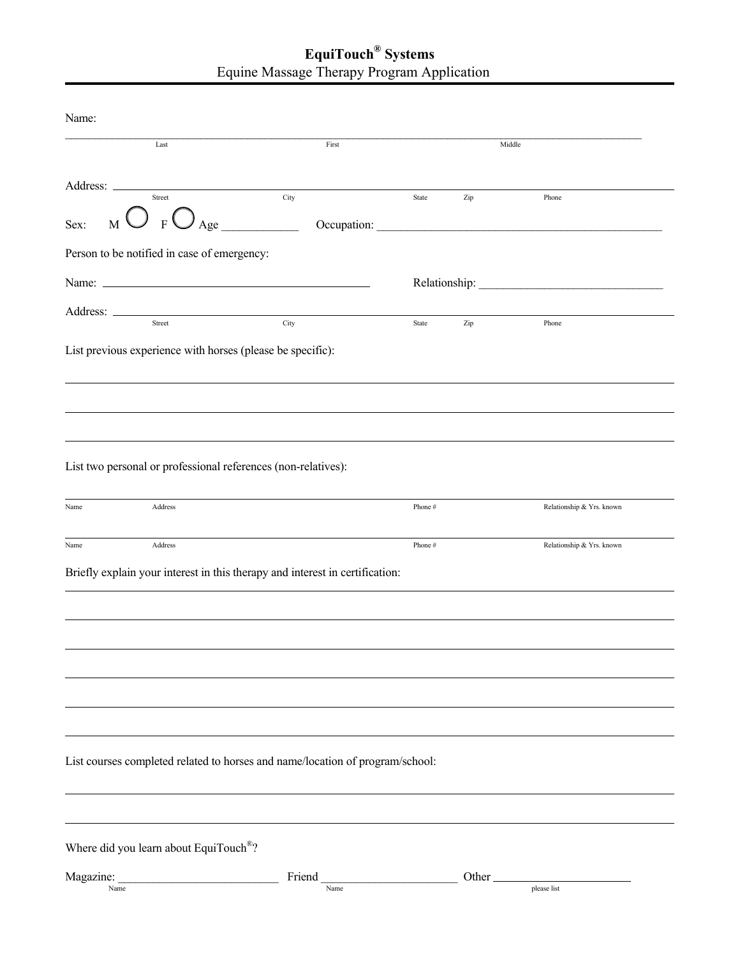## **EquiTouch® Systems** Equine Massage Therapy Program Application

| Name:     |                                                               |                                                                               |        |        |                           |  |
|-----------|---------------------------------------------------------------|-------------------------------------------------------------------------------|--------|--------|---------------------------|--|
|           | Last                                                          | First                                                                         |        |        | Middle                    |  |
|           |                                                               |                                                                               |        |        |                           |  |
|           | Street                                                        | City                                                                          | State  | Zip    | Phone                     |  |
| Sex:      | $_{\rm M}$ $\bigcup$ $_{\rm F}$ $\bigcup$ $_{\rm Age}$        |                                                                               |        |        | Occupation:               |  |
|           | Person to be notified in case of emergency:                   |                                                                               |        |        |                           |  |
|           |                                                               |                                                                               |        |        |                           |  |
|           | Address: <u>Street Street Street</u>                          |                                                                               |        |        |                           |  |
|           |                                                               | $\overline{\text{City}}$                                                      | State  | Zip    | Phone                     |  |
|           | List previous experience with horses (please be specific):    |                                                                               |        |        |                           |  |
|           |                                                               |                                                                               |        |        |                           |  |
|           |                                                               |                                                                               |        |        |                           |  |
|           |                                                               |                                                                               |        |        |                           |  |
|           | List two personal or professional references (non-relatives): |                                                                               |        |        |                           |  |
|           |                                                               |                                                                               |        |        |                           |  |
| Name      | Address                                                       |                                                                               | Phone# |        | Relationship & Yrs. known |  |
| Name      | Address                                                       |                                                                               | Phone# |        | Relationship & Yrs. known |  |
|           |                                                               | Briefly explain your interest in this therapy and interest in certification:  |        |        |                           |  |
|           |                                                               |                                                                               |        |        |                           |  |
|           |                                                               |                                                                               |        |        |                           |  |
|           |                                                               |                                                                               |        |        |                           |  |
|           |                                                               |                                                                               |        |        |                           |  |
|           |                                                               |                                                                               |        |        |                           |  |
|           |                                                               |                                                                               |        |        |                           |  |
|           |                                                               |                                                                               |        |        |                           |  |
|           |                                                               | List courses completed related to horses and name/location of program/school: |        |        |                           |  |
|           |                                                               |                                                                               |        |        |                           |  |
|           |                                                               |                                                                               |        |        |                           |  |
|           | Where did you learn about EquiTouch <sup>®</sup> ?            |                                                                               |        |        |                           |  |
| Magazine: | Name                                                          | Friend<br>Name                                                                |        | Other_ | please list               |  |
|           |                                                               |                                                                               |        |        |                           |  |